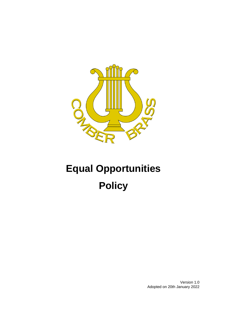

# **Equal Opportunities Policy**

Version 1.0 Adopted on 20th January 2022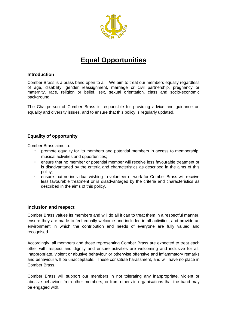

# **Equal Opportunities**

#### **Introduction**

Comber Brass is a brass band open to all. We aim to treat our members equally regardless of age, disability, gender reassignment, marriage or civil partnership, pregnancy or maternity, race, religion or belief, sex, sexual orientation, class and socio-economic background.

The Chairperson of Comber Brass is responsible for providing advice and guidance on equality and diversity issues, and to ensure that this policy is regularly updated.

# **Equality of opportunity**

Comber Brass aims to:

- promote equality for its members and potential members in access to membership, musical activities and opportunities;
- ensure that no member or potential member will receive less favourable treatment or is disadvantaged by the criteria and characteristics as described in the aims of this policy;
- ensure that no individual wishing to volunteer or work for Comber Brass will receive less favourable treatment or is disadvantaged by the criteria and characteristics as described in the aims of this policy.

#### **Inclusion and respect**

Comber Brass values its members and will do all it can to treat them in a respectful manner, ensure they are made to feel equally welcome and included in all activities, and provide an environment in which the contribution and needs of everyone are fully valued and recognised.

Accordingly, all members and those representing Comber Brass are expected to treat each other with respect and dignity and ensure activities are welcoming and inclusive for all. Inappropriate, violent or abusive behaviour or otherwise offensive and inflammatory remarks and behaviour will be unacceptable. These constitute harassment, and will have no place in Comber Brass.

Comber Brass will support our members in not tolerating any inappropriate, violent or abusive behaviour from other members, or from others in organisations that the band may be engaged with.